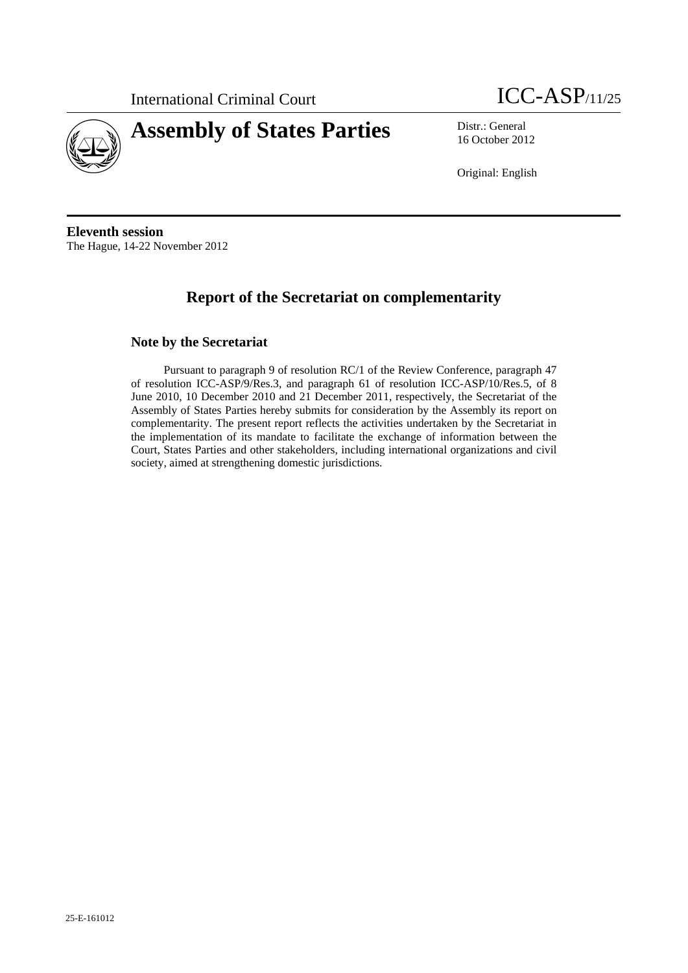

# **Assembly of States Parties** Distr.: General



16 October 2012

Original: English

**Eleventh session**  The Hague, 14-22 November 2012

## **Report of the Secretariat on complementarity**

#### **Note by the Secretariat**

Pursuant to paragraph 9 of resolution RC/1 of the Review Conference, paragraph 47 of resolution ICC-ASP/9/Res.3, and paragraph 61 of resolution ICC-ASP/10/Res.5, of 8 June 2010, 10 December 2010 and 21 December 2011, respectively, the Secretariat of the Assembly of States Parties hereby submits for consideration by the Assembly its report on complementarity. The present report reflects the activities undertaken by the Secretariat in the implementation of its mandate to facilitate the exchange of information between the Court, States Parties and other stakeholders, including international organizations and civil society, aimed at strengthening domestic jurisdictions.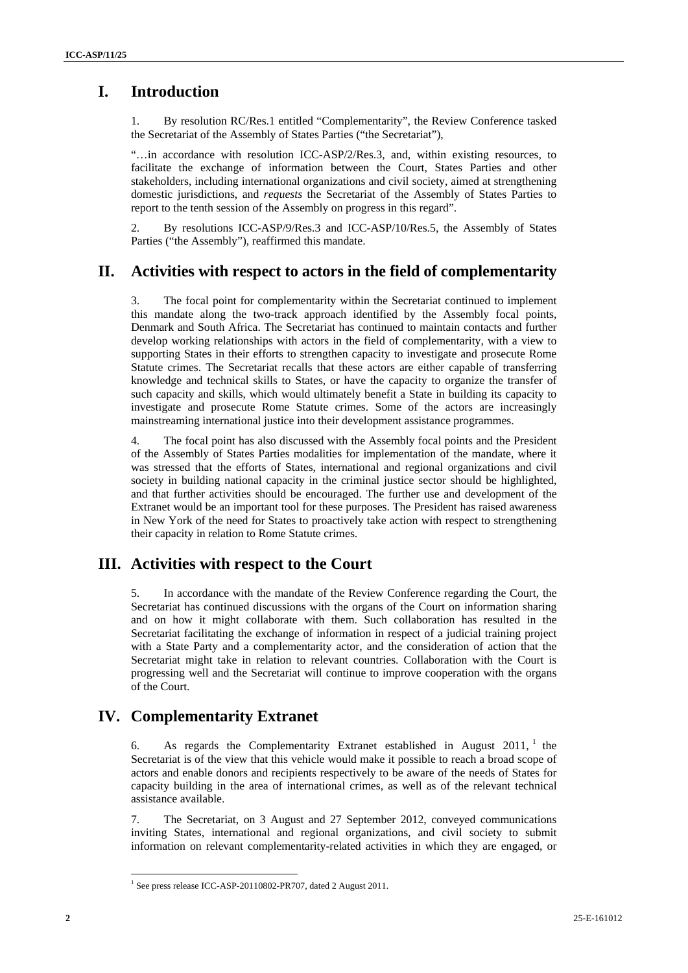### **I. Introduction**

1. By resolution RC/Res.1 entitled "Complementarity", the Review Conference tasked the Secretariat of the Assembly of States Parties ("the Secretariat"),

"…in accordance with resolution ICC-ASP/2/Res.3, and, within existing resources, to facilitate the exchange of information between the Court, States Parties and other stakeholders, including international organizations and civil society, aimed at strengthening domestic jurisdictions, and *requests* the Secretariat of the Assembly of States Parties to report to the tenth session of the Assembly on progress in this regard".

2. By resolutions ICC-ASP/9/Res.3 and ICC-ASP/10/Res.5, the Assembly of States Parties ("the Assembly"), reaffirmed this mandate.

#### **II. Activities with respect to actors in the field of complementarity**

3. The focal point for complementarity within the Secretariat continued to implement this mandate along the two-track approach identified by the Assembly focal points, Denmark and South Africa. The Secretariat has continued to maintain contacts and further develop working relationships with actors in the field of complementarity, with a view to supporting States in their efforts to strengthen capacity to investigate and prosecute Rome Statute crimes. The Secretariat recalls that these actors are either capable of transferring knowledge and technical skills to States, or have the capacity to organize the transfer of such capacity and skills, which would ultimately benefit a State in building its capacity to investigate and prosecute Rome Statute crimes. Some of the actors are increasingly mainstreaming international justice into their development assistance programmes.

4. The focal point has also discussed with the Assembly focal points and the President of the Assembly of States Parties modalities for implementation of the mandate, where it was stressed that the efforts of States, international and regional organizations and civil society in building national capacity in the criminal justice sector should be highlighted, and that further activities should be encouraged. The further use and development of the Extranet would be an important tool for these purposes. The President has raised awareness in New York of the need for States to proactively take action with respect to strengthening their capacity in relation to Rome Statute crimes.

#### **III. Activities with respect to the Court**

5. In accordance with the mandate of the Review Conference regarding the Court, the Secretariat has continued discussions with the organs of the Court on information sharing and on how it might collaborate with them. Such collaboration has resulted in the Secretariat facilitating the exchange of information in respect of a judicial training project with a State Party and a complementarity actor, and the consideration of action that the Secretariat might take in relation to relevant countries. Collaboration with the Court is progressing well and the Secretariat will continue to improve cooperation with the organs of the Court.

#### **IV. Complementarity Extranet**

6. As regards the Complementarity Extranet established in August  $2011$ , the Secretariat is of the view that this vehicle would make it possible to reach a broad scope of actors and enable donors and recipients respectively to be aware of the needs of States for capacity building in the area of international crimes, as well as of the relevant technical assistance available.

7. The Secretariat, on 3 August and 27 September 2012, conveyed communications inviting States, international and regional organizations, and civil society to submit information on relevant complementarity-related activities in which they are engaged, or

<sup>&</sup>lt;sup>1</sup> See press release ICC-ASP-20110802-PR707, dated 2 August 2011.